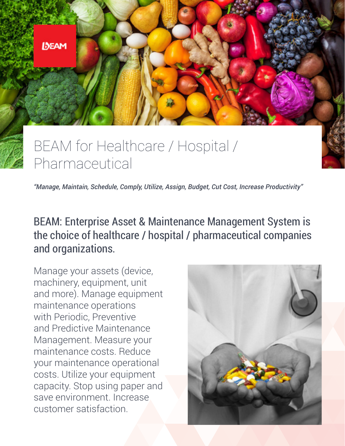

# BEAM for Healthcare / Hospital / Pharmaceutical

*"Manage, Maintain, Schedule, Comply, Utilize, Assign, Budget, Cut Cost, Increase Productivity"*

## BEAM: Enterprise Asset & Maintenance Management System is the choice of healthcare / hospital / pharmaceutical companies and organizations.

Manage your assets (device, machinery, equipment, unit and more). Manage equipment maintenance operations with Periodic, Preventive and Predictive Maintenance Management. Measure your maintenance costs. Reduce your maintenance operational costs. Utilize your equipment capacity. Stop using paper and save environment. Increase customer satisfaction.

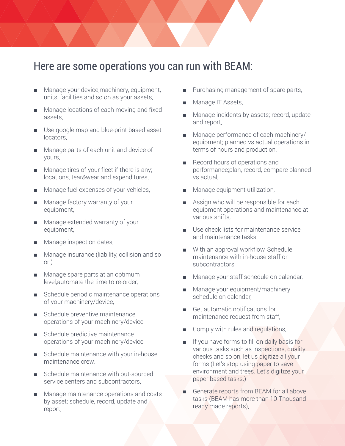#### Here are some operations you can run with BEAM:

- Manage your device, machinery, equipment, units, facilities and so on as your assets,
- Manage locations of each moving and fixed assets,
- Use google map and blue-print based asset locators,
- Manage parts of each unit and device of yours,
- Manage tires of your fleet if there is any; locations, tear&wear and expenditures,
- Manage fuel expenses of your vehicles,
- Manage factory warranty of your equipment,
- Manage extended warranty of your equipment,
- Manage inspection dates,
- Manage insurance (liability, collision and so on)
- Manage spare parts at an optimum level,automate the time to re-order,
- Schedule periodic maintenance operations of your machinery/device,
- Schedule preventive maintenance operations of your machinery/device,
- Schedule predictive maintenance operations of your machinery/device,
- Schedule maintenance with your in-house maintenance crew,
- Schedule maintenance with out-sourced service centers and subcontractors,
- Manage maintenance operations and costs by asset; schedule, record, update and report,
- Purchasing management of spare parts,
- Manage IT Assets,
- Manage incidents by assets; record, update and report,
- Manage performance of each machinery/ equipment; planned vs actual operations in terms of hours and production,
- Record hours of operations and performance;plan, record, compare planned vs actual,
- Manage equipment utilization,
- Assign who will be responsible for each equipment operations and maintenance at various shifts,
- Use check lists for maintenance service and maintenance tasks,
- With an approval workflow, Schedule maintenance with in-house staff or subcontractors,
- Manage your staff schedule on calendar,
- Manage your equipment/machinery schedule on calendar,
- Get automatic notifications for maintenance request from staff,
- Comply with rules and regulations,
- If you have forms to fill on daily basis for various tasks such as inspections, quality checks and so on, let us digitize all your forms (Let's stop using paper to save environment and trees. Let's digitize your paper based tasks.)
- Generate reports from BEAM for all above tasks (BEAM has more than 10 Thousand ready made reports),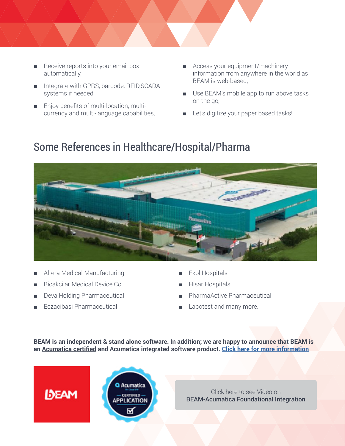- - Receive reports into your email box automatically,
	- Integrate with GPRS, barcode, RFID, SCADA systems if needed,
	- Enjoy benefits of multi-location, multicurrency and multi-language capabilities,
- Access your equipment/machinery information from anywhere in the world as BEAM is web-based,
- Use BEAM's mobile app to run above tasks on the go,
- Let's digitize your paper based tasks!

## Some References in Healthcare/Hospital/Pharma



- Altera Medical Manufacturing
- Bicakcilar Medical Device Co
- Deva Holding Pharmaceutical
- Eczacibasi Pharmaceutical

**IDEAM** 

- Ekol Hospitals
- Hisar Hospitals
- PharmaActive Pharmaceutical
- Labotest and many more.

**BEAM is an independent & stand alone software. In addition; we are happy to announce that BEAM is an Acumatica certified and Acumatica integrated software product. [Click here for more information](https://www.acumatica.com/extensions/bimser-beam-asset-maintenance-management-software/)**



Click here to see Video on [BEAM-Acumatica Foundational Integration](https://www.youtube.com/watch?v=EHWlajzkSxQ)